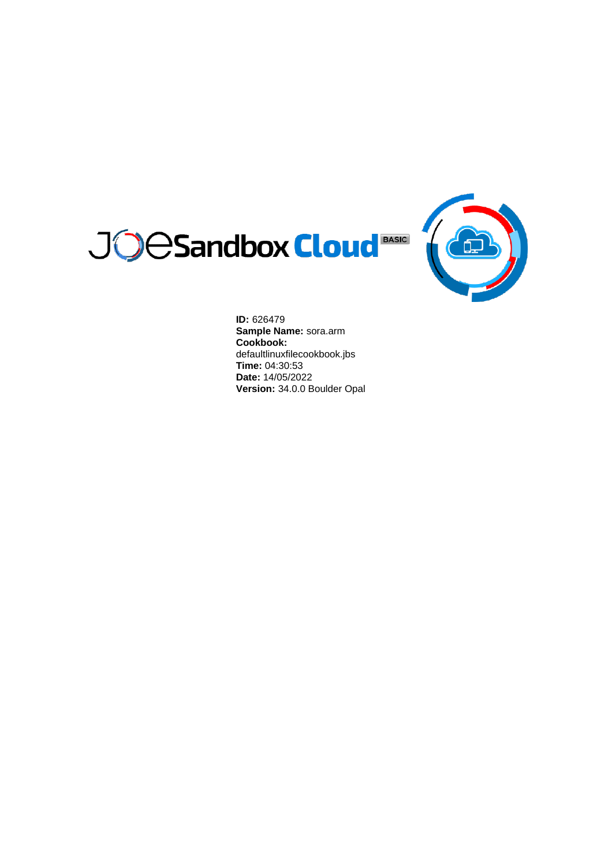



**ID:** 626479 **Sample Name:** sora.arm **Cookbook:** defaultlinuxfilecookbook.jbs **Time:** 04:30:53 **Date:** 14/05/2022 **Version:** 34.0.0 Boulder Opal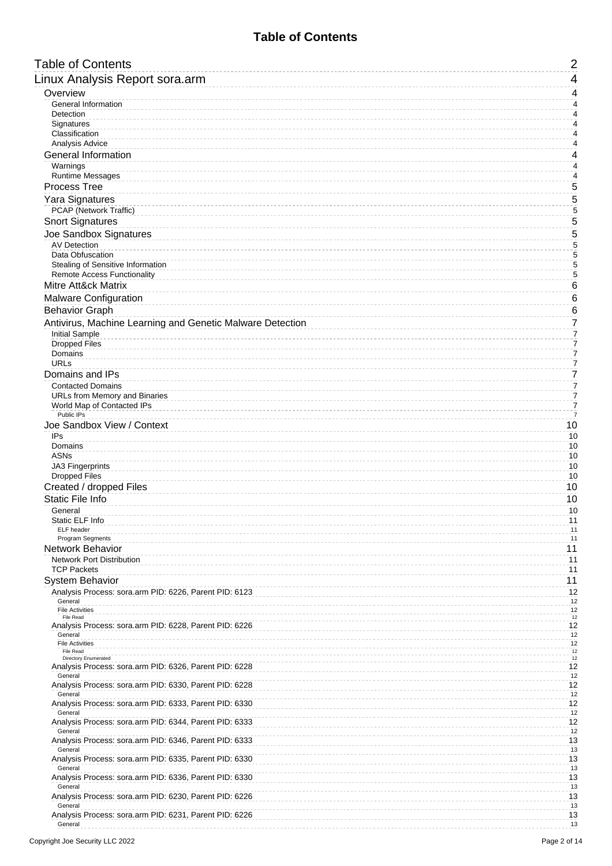### **Table of Contents**

<span id="page-1-0"></span>

| <b>Table of Contents</b>                                                              | $\overline{2}$                   |
|---------------------------------------------------------------------------------------|----------------------------------|
| Linux Analysis Report sora.arm                                                        | 4                                |
| Overview                                                                              | 4                                |
| General Information                                                                   | $\overline{4}$                   |
| Detection<br>Signatures                                                               | 4<br>$\overline{4}$              |
| Classification                                                                        | 4                                |
| Analysis Advice                                                                       | $\sqrt{4}$                       |
| <b>General Information</b>                                                            | 4                                |
| Warnings<br><b>Runtime Messages</b>                                                   | 4<br>4                           |
| <b>Process Tree</b>                                                                   | 5                                |
| Yara Signatures                                                                       | 5                                |
| PCAP (Network Traffic)                                                                | 5                                |
| <b>Snort Signatures</b>                                                               | 5                                |
| Joe Sandbox Signatures                                                                | 5                                |
| <b>AV Detection</b>                                                                   | 5                                |
| Data Obfuscation<br>Stealing of Sensitive Information                                 | 5<br>5                           |
| <b>Remote Access Functionality</b>                                                    | 5                                |
| Mitre Att&ck Matrix                                                                   | 6                                |
| Malware Configuration                                                                 | 6                                |
| <b>Behavior Graph</b>                                                                 | 6                                |
| Antivirus, Machine Learning and Genetic Malware Detection                             | 7                                |
| <b>Initial Sample</b><br><b>Dropped Files</b>                                         | $\overline{7}$<br>7              |
| Domains                                                                               | $\overline{7}$                   |
| <b>URLs</b>                                                                           | $\overline{7}$                   |
| Domains and IPs                                                                       | $\overline{7}$                   |
| <b>Contacted Domains</b><br>URLs from Memory and Binaries                             | $\overline{7}$<br>$\overline{7}$ |
| World Map of Contacted IPs                                                            | $\overline{7}$                   |
| Public IPs                                                                            | $\overline{7}$                   |
| Joe Sandbox View / Context                                                            | 10                               |
| IPs<br>Domains                                                                        | 10<br>10                         |
| <b>ASNs</b>                                                                           | 10                               |
| <b>JA3 Fingerprints</b>                                                               | 10                               |
| <b>Dropped Files</b><br>Created / dropped Files                                       | 10<br>10                         |
| Static File Info                                                                      | 10                               |
| General                                                                               | 10                               |
| Static ELF Info                                                                       | 11                               |
| ELF header<br>Program Segments                                                        | 11<br>11                         |
| Network Behavior                                                                      | 11                               |
| <b>Network Port Distribution</b>                                                      | 11                               |
| <b>TCP Packets</b>                                                                    | 11                               |
| System Behavior                                                                       | 11                               |
| Analysis Process: sora.arm PID: 6226, Parent PID: 6123<br>General                     | 12<br>12                         |
| <b>File Activities</b>                                                                | 12                               |
| File Read<br>Analysis Process: sora.arm PID: 6228, Parent PID: 6226                   | 12<br>12                         |
| General                                                                               | 12                               |
| <b>File Activities</b><br>File Read                                                   | 12<br>$12\,$                     |
| <b>Directory Enumerated</b><br>Analysis Process: sora.arm PID: 6326, Parent PID: 6228 | $12\,$<br>12                     |
| General                                                                               | 12                               |
| Analysis Process: sora.arm PID: 6330, Parent PID: 6228                                | 12                               |
| General<br>Analysis Process: sora.arm PID: 6333, Parent PID: 6330                     | 12<br>12                         |
| General                                                                               | 12                               |
| Analysis Process: sora.arm PID: 6344, Parent PID: 6333<br>General                     | 12<br>12                         |
| Analysis Process: sora.arm PID: 6346, Parent PID: 6333                                | 13                               |
| General                                                                               | 13<br>13                         |
| Analysis Process: sora.arm PID: 6335, Parent PID: 6330<br>General                     | 13                               |
| Analysis Process: sora.arm PID: 6336, Parent PID: 6330                                | 13                               |
| General<br>Analysis Process: sora.arm PID: 6230, Parent PID: 6226                     | 13<br>13                         |
| General                                                                               | 13                               |
| Analysis Process: sora.arm PID: 6231, Parent PID: 6226                                | 13                               |
| General                                                                               | 13                               |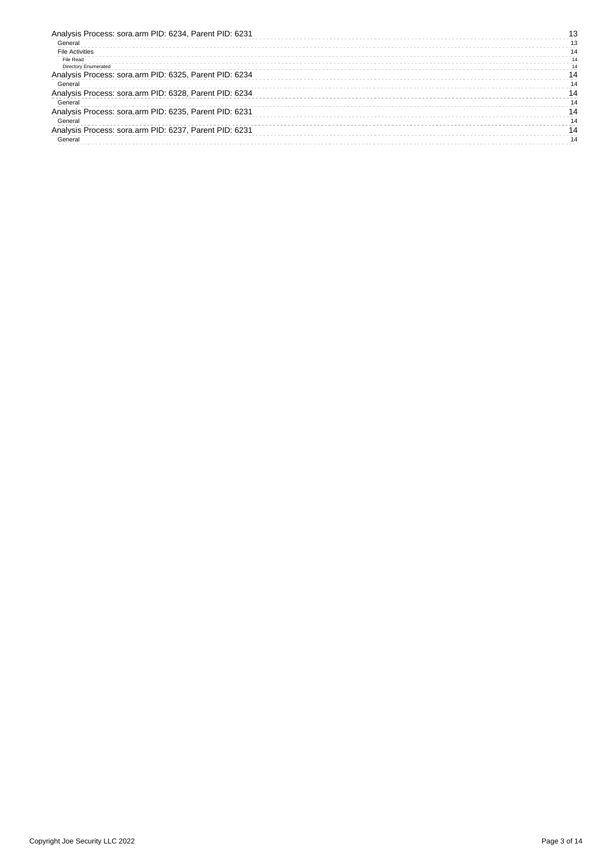| Analysis Process: sora.arm PID: 6234, Parent PID: 6231 |    |
|--------------------------------------------------------|----|
| General                                                | 13 |
| <b>File Activities</b>                                 | 14 |
| File Read                                              | 14 |
| <b>Directory Enumerated</b>                            | 14 |
| Analysis Process: sora.arm PID: 6325, Parent PID: 6234 | 14 |
| General                                                | 14 |
| Analysis Process: sora.arm PID: 6328, Parent PID: 6234 | 14 |
| General                                                | 14 |
| Analysis Process: sora.arm PID: 6235, Parent PID: 6231 | 14 |
| General                                                | 14 |
| Analysis Process: sora.arm PID: 6237, Parent PID: 6231 | 14 |
| General                                                | 14 |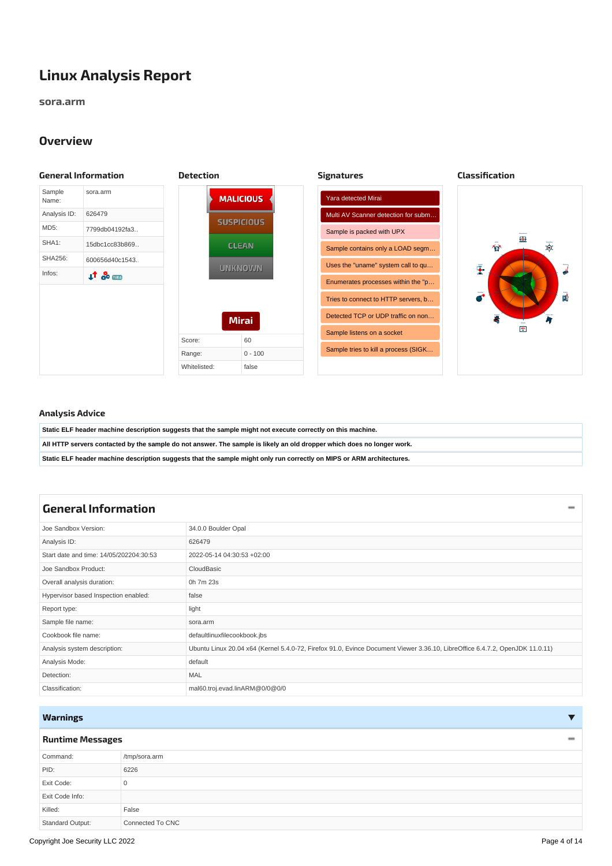# <span id="page-3-0"></span>**Linux Analysis Report**

**sora.arm**

#### <span id="page-3-5"></span><span id="page-3-4"></span><span id="page-3-3"></span><span id="page-3-1"></span>**Overview**

<span id="page-3-2"></span>

#### <span id="page-3-6"></span>**Analysis Advice**

| Static ELF header machine description suggests that the sample might not execute correctly on this machine.            |
|------------------------------------------------------------------------------------------------------------------------|
| All HTTP servers contacted by the sample do not answer. The sample is likely an old dropper which does no longer work. |
| Static ELF header machine description suggests that the sample might only run correctly on MIPS or ARM architectures.  |

## <span id="page-3-7"></span>**General [Information](#page-3-10)**

<span id="page-3-10"></span>

| Joe Sandbox Version:                    | 34.0.0 Boulder Opal                                                                                                          |
|-----------------------------------------|------------------------------------------------------------------------------------------------------------------------------|
| Analysis ID:                            | 626479                                                                                                                       |
| Start date and time: 14/05/202204:30:53 | 2022-05-14 04:30:53 +02:00                                                                                                   |
| Joe Sandbox Product:                    | CloudBasic                                                                                                                   |
| Overall analysis duration:              | 0h 7m 23s                                                                                                                    |
| Hypervisor based Inspection enabled:    | false                                                                                                                        |
| Report type:                            | light                                                                                                                        |
| Sample file name:                       | sora.arm                                                                                                                     |
| Cookbook file name:                     | defaultlinuxfilecookbook.jbs                                                                                                 |
| Analysis system description:            | Ubuntu Linux 20.04 x64 (Kernel 5.4.0-72, Firefox 91.0, Evince Document Viewer 3.36.10, LibreOffice 6.4.7.2, OpenJDK 11.0.11) |
| Analysis Mode:                          | default                                                                                                                      |
| Detection:                              | MAL                                                                                                                          |
| Classification:                         | mal60.troj.evad.linARM@0/0@0/0                                                                                               |

#### <span id="page-3-8"></span>**Warnings**

#### <span id="page-3-9"></span>**Runtime [Messages](#page-3-11)**

<span id="page-3-11"></span>

| Command:         | /tmp/sora.arm    |
|------------------|------------------|
| PID:             | 6226             |
| Exit Code:       | C                |
| Exit Code Info:  |                  |
| Killed:          | False            |
| Standard Output: | Connected To CNC |

 $\overline{\mathbf{v}}$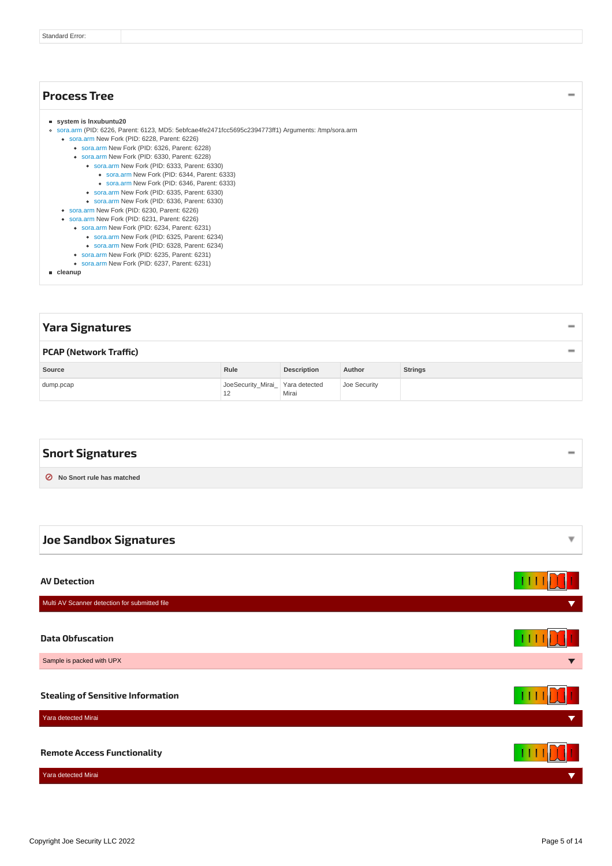#### <span id="page-4-9"></span><span id="page-4-0"></span>**system is lnxubuntu20** [sora.arm](#page-11-17) (PID: 6226, Parent: 6123, MD5: 5ebfcae4fe2471fcc5695c2394773ff1) Arguments: /tmp/sora.arm [sora.arm](#page-11-18) New Fork (PID: 6228, Parent: 6226) [sora.arm](#page-11-19) New Fork (PID: 6326, Parent: 6228) [sora.arm](#page-11-20) New Fork (PID: 6330, Parent: 6228) [sora.arm](#page-11-21) New Fork (PID: 6333, Parent: 6330) [sora.arm](#page-11-22) New Fork (PID: 6344, Parent: 6333) [sora.arm](#page-12-12) New Fork (PID: 6346, Parent: 6333) [sora.arm](#page-12-13) New Fork (PID: 6335, Parent: 6330) [sora.arm](#page-12-14) New Fork (PID: 6336, Parent: 6330) [sora.arm](#page-12-15) New Fork (PID: 6230, Parent: 6226) [sora.arm](#page-12-16) New Fork (PID: 6231, Parent: 6226) [sora.arm](#page-12-17) New Fork (PID: 6234, Parent: 6231) [sora.arm](#page-13-11) New Fork (PID: 6325, Parent: 6234) [sora.arm](#page-13-12) New Fork (PID: 6328, Parent: 6234) [sora.arm](#page-13-13) New Fork (PID: 6235, Parent: 6231) [sora.arm](#page-13-14) New Fork (PID: 6237, Parent: 6231) **cleanup [Process](#page-4-9) Tree**

<span id="page-4-11"></span><span id="page-4-10"></span><span id="page-4-2"></span><span id="page-4-1"></span>

| Yara Signatures               |                                        |                    |              |                |  |  |  |
|-------------------------------|----------------------------------------|--------------------|--------------|----------------|--|--|--|
| <b>PCAP (Network Traffic)</b> |                                        |                    |              |                |  |  |  |
| Source                        | Rule                                   | <b>Description</b> | Author       | <b>Strings</b> |  |  |  |
| dump.pcap                     | JoeSecurity_Mirai_ Yara detected<br>12 | Mirai              | Joe Security |                |  |  |  |

<span id="page-4-12"></span><span id="page-4-3"></span>

| <b>Snort Signatures</b>     |  |
|-----------------------------|--|
| ◯ No Snort rule has matched |  |

<span id="page-4-8"></span><span id="page-4-7"></span><span id="page-4-6"></span><span id="page-4-5"></span><span id="page-4-4"></span>

| <b>Joe Sandbox Signatures</b>                                        |                      |
|----------------------------------------------------------------------|----------------------|
|                                                                      |                      |
| <b>AV Detection</b><br>Multi AV Scanner detection for submitted file | v                    |
|                                                                      |                      |
| <b>Data Obfuscation</b>                                              |                      |
| Sample is packed with UPX                                            |                      |
| <b>Stealing of Sensitive Information</b>                             |                      |
| Yara detected Mirai                                                  | v                    |
| <b>Remote Access Functionality</b>                                   |                      |
| Yara detected Mirai                                                  | $\blacktriangledown$ |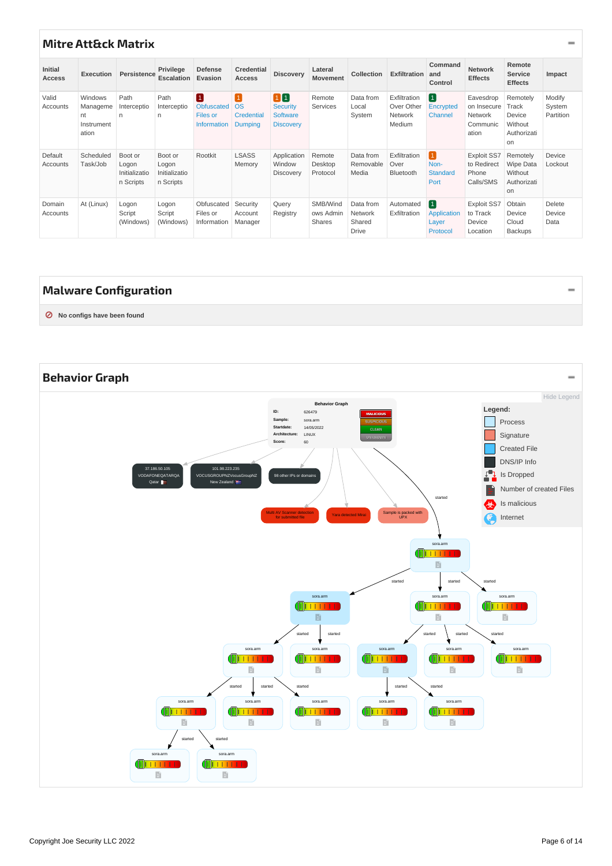# <span id="page-5-0"></span>**Mitre [Att&ck](#page-5-3) Matrix**

<span id="page-5-3"></span>

| <b>Initial</b><br><b>Access</b> | Execution                                        | Persistence                                    | Privilege<br><b>Escalation</b>                 | <b>Defense</b><br>Evasion                                          | <b>Credential</b><br><b>Access</b>                        | <b>Discovery</b>                                             | Lateral<br><b>Movement</b>             | Collection                                     | <b>Exfiltration</b>                             | Command<br>and<br>Control                              | <b>Network</b><br><b>Effects</b>                         | Remote<br><b>Service</b><br><b>Effects</b>                  | Impact                        |
|---------------------------------|--------------------------------------------------|------------------------------------------------|------------------------------------------------|--------------------------------------------------------------------|-----------------------------------------------------------|--------------------------------------------------------------|----------------------------------------|------------------------------------------------|-------------------------------------------------|--------------------------------------------------------|----------------------------------------------------------|-------------------------------------------------------------|-------------------------------|
| Valid<br>Accounts               | Windows<br>Manageme<br>nt<br>Instrument<br>ation | Path<br>Interceptio<br>n                       | Path<br>Interceptio<br>n                       | $\boxed{1}$<br><b>Obfuscated</b><br>Files or<br><b>Information</b> | $\mathbf{1}$<br><b>OS</b><br>Credential<br><b>Dumping</b> | 10<br><b>Security</b><br><b>Software</b><br><b>Discovery</b> | Remote<br>Services                     | Data from<br>Local<br>System                   | Exfiltration<br>Over Other<br>Network<br>Medium | $\boxed{1}$<br>Encrypted<br>Channel                    | Eavesdrop<br>on Insecure<br>Network<br>Communic<br>ation | Remotely<br>Track<br>Device<br>Without<br>Authorizati<br>on | Modify<br>System<br>Partition |
| Default<br>Accounts             | Scheduled<br>Task/Job                            | Boot or<br>Logon<br>Initializatio<br>n Scripts | Boot or<br>Logon<br>Initializatio<br>n Scripts | Rootkit                                                            | <b>LSASS</b><br>Memory                                    | Application<br>Window<br>Discovery                           | Remote<br>Desktop<br>Protocol          | Data from<br>Removable<br>Media                | Exfiltration<br>Over<br>Bluetooth               | $\mathbf{1}$<br>Non-<br><b>Standard</b><br>Port        | <b>Exploit SS7</b><br>to Redirect<br>Phone<br>Calls/SMS  | Remotely<br>Wipe Data<br>Without<br>Authorizati<br>on       | Device<br>Lockout             |
| Domain<br>Accounts              | At (Linux)                                       | Logon<br>Script<br>(Windows)                   | Logon<br>Script<br>(Windows)                   | Obfuscated<br>Files or<br>Information                              | Security<br>Account<br>Manager                            | Query<br>Registry                                            | SMB/Wind<br>ows Admin<br><b>Shares</b> | Data from<br>Network<br>Shared<br><b>Drive</b> | Automated<br>Exfiltration                       | $\boxed{1}$<br><b>Application</b><br>Layer<br>Protocol | <b>Exploit SS7</b><br>to Track<br>Device<br>Location     | Obtain<br>Device<br>Cloud<br><b>Backups</b>                 | Delete<br>Device<br>Data      |

## <span id="page-5-1"></span>**Malware [Configuration](#page-5-4)**

<span id="page-5-4"></span>**⊘ No configs have been found**

<span id="page-5-5"></span><span id="page-5-2"></span>

-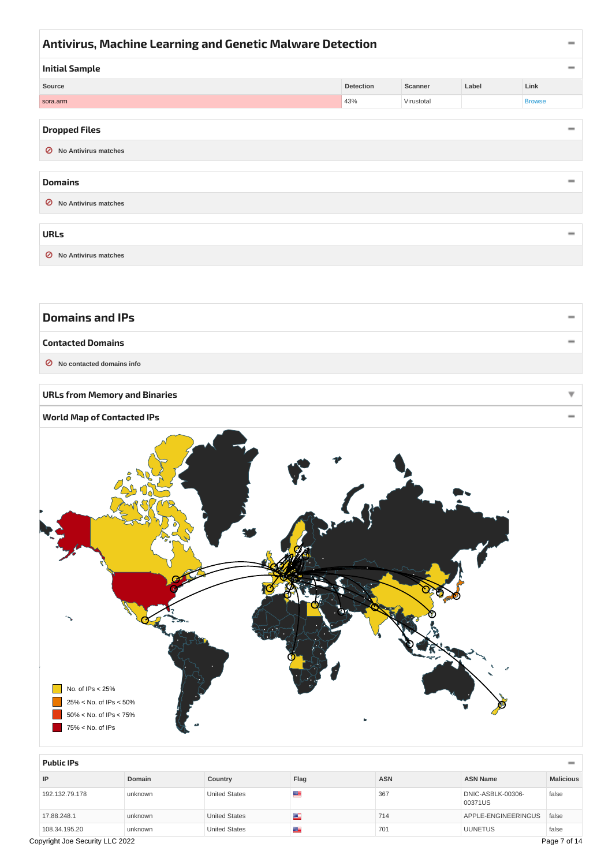<span id="page-6-11"></span><span id="page-6-10"></span><span id="page-6-2"></span><span id="page-6-1"></span><span id="page-6-0"></span>

| Antivirus, Machine Learning and Genetic Malware Detection |                  |            |       |               |  |  |  |
|-----------------------------------------------------------|------------------|------------|-------|---------------|--|--|--|
| <b>Initial Sample</b>                                     |                  |            |       |               |  |  |  |
| Source                                                    | <b>Detection</b> | Scanner    | Label | Link          |  |  |  |
| sora.arm                                                  | 43%              | Virustotal |       | <b>Browse</b> |  |  |  |
|                                                           |                  |            |       |               |  |  |  |
| <b>Dropped Files</b>                                      |                  |            |       |               |  |  |  |
| <b>No Antivirus matches</b><br>Ø                          |                  |            |       |               |  |  |  |
|                                                           |                  |            |       |               |  |  |  |
| <b>Domains</b>                                            |                  |            |       | $\equiv$      |  |  |  |
| <b>No Antivirus matches</b><br>Ø                          |                  |            |       |               |  |  |  |

<span id="page-6-14"></span><span id="page-6-13"></span><span id="page-6-12"></span><span id="page-6-4"></span><span id="page-6-3"></span>

| <b>URLs</b>            |  |
|------------------------|--|
| ◯ No Antivirus matches |  |

<span id="page-6-6"></span><span id="page-6-5"></span>

| <b>Domains and IPs</b>      |  |
|-----------------------------|--|
| <b>Contacted Domains</b>    |  |
| ◯ No contacted domains info |  |

#### <span id="page-6-15"></span><span id="page-6-7"></span>**URLs from Memory and Binaries**

<span id="page-6-8"></span>



<span id="page-6-9"></span>

| <b>Public IPs</b>                               |         |                      |      |            |                              | $\equiv$         |  |  |  |  |  |
|-------------------------------------------------|---------|----------------------|------|------------|------------------------------|------------------|--|--|--|--|--|
| Domain<br>IP                                    |         | Country              | Flag | <b>ASN</b> | <b>ASN Name</b>              | <b>Malicious</b> |  |  |  |  |  |
| 192.132.79.178                                  | unknown | <b>United States</b> | ≝    | 367        | DNIC-ASBLK-00306-<br>00371US | false            |  |  |  |  |  |
| 17.88.248.1                                     | unknown | <b>United States</b> | ≝    | 714        | APPLE-ENGINEERINGUS          | false            |  |  |  |  |  |
| 108.34.195.20                                   | unknown | <b>United States</b> | ≝    | 701        | <b>UUNETUS</b>               | false            |  |  |  |  |  |
| Copyright Joe Security LLC 2022<br>Page 7 of 14 |         |                      |      |            |                              |                  |  |  |  |  |  |

÷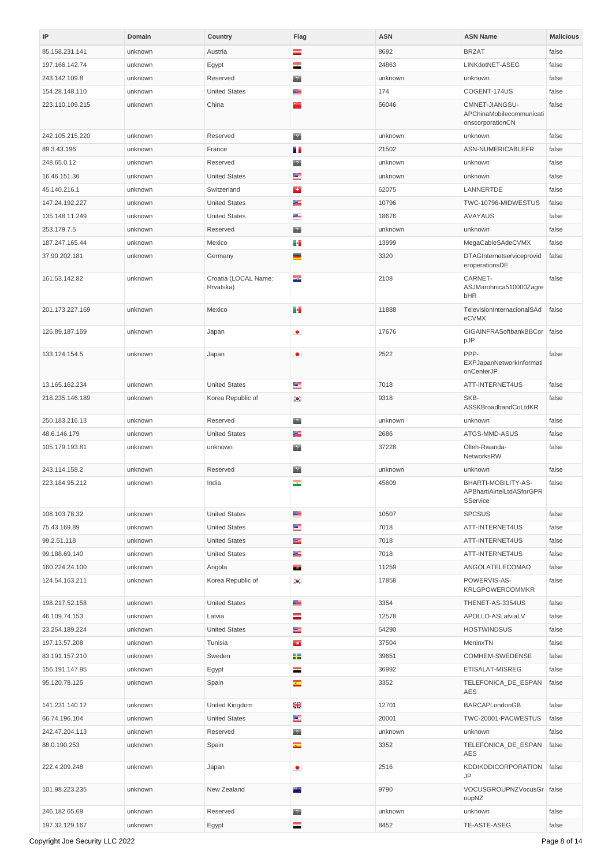<span id="page-7-1"></span><span id="page-7-0"></span>

| IP              | Domain  | Country                           | Flag                     | <b>ASN</b> | <b>ASN Name</b>                                                | <b>Malicious</b> |
|-----------------|---------|-----------------------------------|--------------------------|------------|----------------------------------------------------------------|------------------|
| 85.158.231.141  | unknown | Austria                           | $\equiv$                 | 8692       | <b>BRZAT</b>                                                   | false            |
| 197.166.142.74  | unknown | Egypt                             | ÷                        | 24863      | LINKdotNET-ASEG                                                | false            |
| 243.142.109.8   | unknown | Reserved                          | $\overline{2}$           | unknown    | unknown                                                        | false            |
| 154.28.148.110  | unknown | <b>United States</b>              | ≝                        | 174        | COGENT-174US                                                   | false            |
| 223.110.109.215 | unknown | China                             | ÷                        | 56046      | CMNET-JIANGSU-<br>APChinaMobilecommunicati<br>onscorporationCN | false            |
| 242.105.215.220 | unknown | Reserved                          | $\overline{2}$           | unknown    | unknown                                                        | false            |
| 89.3.43.196     | unknown | France                            | m m                      | 21502      | ASN-NUMERICABLEFR                                              | false            |
| 248.65.0.12     | unknown | Reserved                          | $\overline{2}$           | unknown    | unknown                                                        | false            |
| 16.46.151.36    | unknown | <b>United States</b>              | ≊                        | unknown    | unknown                                                        | false            |
| 45.140.216.1    | unknown | Switzerland                       | £.                       | 62075      | LANNERTDE                                                      | false            |
| 147.24.192.227  | unknown | <b>United States</b>              | ≝                        | 10796      | TWC-10796-MIDWESTUS                                            | false            |
| 135.148.11.249  | unknown | <b>United States</b>              | ≝                        | 18676      | <b>AVAYAUS</b>                                                 | false            |
| 253.179.7.5     | unknown | Reserved                          | $\overline{2}$           | unknown    | unknown                                                        | false            |
| 187.247.165.44  | unknown | Mexico                            | s.                       | 13999      | MegaCableSAdeCVMX                                              | false            |
| 37.90.202.181   | unknown | Germany                           | ▀                        | 3320       | DTAGInternetserviceprovid<br>eroperationsDE                    | false            |
| 161.53.142.82   | unknown | Croatia (LOCAL Name:<br>Hrvatska) | ×,                       | 2108       | CARNET-<br>ASJMarohnica510000Zagre<br>bHR                      | false            |
| 201.173.227.169 | unknown | Mexico                            | H.                       | 11888      | TelevisionInternacionalSAd<br>eCVMX                            | false            |
| 126.89.187.159  | unknown | Japan                             | $\bullet$                | 17676      | GIGAINFRASoftbankBBCor<br>pJP                                  | false            |
| 133.124.154.5   | unknown | Japan                             | $\bullet$                | 2522       | PPP-<br>EXPJapanNetworkInformati<br>onCenterJP                 | false            |
| 13.165.162.234  | unknown | <b>United States</b>              | ≊                        | 7018       | ATT-INTERNET4US                                                | false            |
| 218.235.146.189 | unknown | Korea Republic of                 | $\bullet.$               | 9318       | SKB-<br>ASSKBroadbandCoLtdKR                                   | false            |
| 250.183.216.13  | unknown | Reserved                          | $\overline{ }$ ?         | unknown    | unknown                                                        | false            |
| 48.6.146.179    | unknown | <b>United States</b>              | ≝                        | 2686       | ATGS-MMD-ASUS                                                  | false            |
| 105.179.193.81  | unknown | unknown                           | $\overline{2}$           | 37228      | Olleh-Rwanda-<br>NetworksRW                                    | false            |
| 243.114.158.2   | unknown | Reserved                          | $\mathbb{R}^n$           | unknown    | unknown                                                        | false            |
| 223.184.95.212  | unknown | India                             | $\overline{\phantom{a}}$ | 45609      | BHARTI-MOBILITY-AS-<br>APBhartiAirtelLtdASforGPR<br>SService   | false            |
| 108.103.78.32   | unknown | <b>United States</b>              | ≊                        | 10507      | <b>SPCSUS</b>                                                  | false            |
| 75.43.169.89    | unknown | <b>United States</b>              | ≝                        | 7018       | ATT-INTERNET4US                                                | false            |
| 99.2.51.118     | unknown | <b>United States</b>              | ≝                        | 7018       | ATT-INTERNET4US                                                | false            |
| 99.188.69.140   | unknown | <b>United States</b>              | ≊                        | 7018       | ATT-INTERNET4US                                                | false            |
| 160.224.24.100  | unknown | Angola                            | a.                       | 11259      | ANGOLATELECOMAO                                                | false            |
| 124.54.163.211  | unknown | Korea Republic of                 | $\bullet$                | 17858      | POWERVIS-AS-<br><b>KRLGPOWERCOMMKR</b>                         | false            |
| 198.217.52.158  | unknown | <b>United States</b>              | ≝                        | 3354       | THENET-AS-3354US                                               | false            |
| 46.109.74.153   | unknown | Latvia                            | $\equiv$                 | 12578      | APOLLO-ASLatviaLV                                              | false            |
| 23.254.189.224  | unknown | <b>United States</b>              | ≊                        | 54290      | <b>HOSTWINDSUS</b>                                             | false            |
| 197.13.57.208   | unknown | Tunisia                           | $\bullet$                | 37504      | MeninxTN                                                       | false            |
| 83.191.157.210  | unknown | Sweden                            | ÷                        | 39651      | COMHEM-SWEDENSE                                                | false            |
| 156.191.147.95  | unknown | Egypt                             | ═                        | 36992      | ETISALAT-MISREG                                                | false            |
| 95.120.78.125   | unknown | Spain                             | $\overline{\cdot}$       | 3352       | TELEFONICA_DE_ESPAN<br><b>AES</b>                              | false            |
| 141.231.140.12  | unknown | United Kingdom                    | ݺڿ                       | 12701      | BARCAPLondonGB                                                 | false            |
| 66.74.196.104   | unknown | <b>United States</b>              | ≊                        | 20001      | TWC-20001-PACWESTUS                                            | false            |
| 242.47.204.113  | unknown | Reserved                          | $\overline{ }$ ?         | unknown    | unknown                                                        | false            |
| 88.0.190.253    | unknown | Spain                             | $\overline{\cdot}$       | 3352       | TELEFONICA_DE_ESPAN<br>AES                                     | false            |
| 222.4.209.248   | unknown | Japan                             | $\bullet$                | 2516       | KDDIKDDICORPORATION<br><b>JP</b>                               | false            |
| 101.98.223.235  | unknown | New Zealand                       | 問                        | 9790       | VOCUSGROUPNZVocusGr<br>oupNZ                                   | false            |
| 246.182.65.69   | unknown | Reserved                          | $\overline{2}$           | unknown    | unknown                                                        | false            |
| 197.32.129.167  | unknown | Egypt                             | $\overline{\phantom{a}}$ | 8452       | TE-ASTE-ASEG                                                   | false            |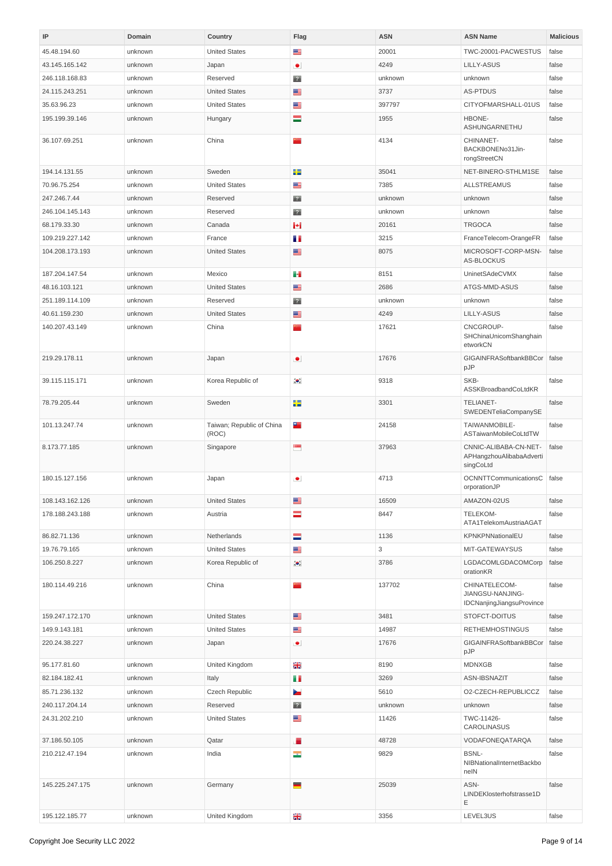<span id="page-8-0"></span>

| IP              | Domain  | Country                            | Flag                     | <b>ASN</b> | <b>ASN Name</b>                                                | <b>Malicious</b> |
|-----------------|---------|------------------------------------|--------------------------|------------|----------------------------------------------------------------|------------------|
| 45.48.194.60    | unknown | <b>United States</b>               | ≝                        | 20001      | TWC-20001-PACWESTUS                                            | false            |
| 43.145.165.142  | unknown | Japan                              | $\bullet$                | 4249       | LILLY-ASUS                                                     | false            |
| 246.118.168.83  | unknown | Reserved                           | $\overline{2}$           | unknown    | unknown                                                        | false            |
| 24.115.243.251  | unknown | <b>United States</b>               | ≊                        | 3737       | <b>AS-PTDUS</b>                                                | false            |
| 35.63.96.23     | unknown | <b>United States</b>               | ≝                        | 397797     | CITYOFMARSHALL-01US                                            | false            |
| 195.199.39.146  | unknown | Hungary                            | ═                        | 1955       | HBONE-<br>ASHUNGARNETHU                                        | false            |
| 36.107.69.251   | unknown | China                              |                          | 4134       | CHINANET-<br>BACKBONENo31Jin-<br>rongStreetCN                  | false            |
| 194.14.131.55   | unknown | Sweden                             | ÷                        | 35041      | NET-BINERO-STHLM1SE                                            | false            |
| 70.96.75.254    | unknown | <b>United States</b>               | ≝                        | 7385       | <b>ALLSTREAMUS</b>                                             | false            |
| 247.246.7.44    | unknown | Reserved                           | $\overline{P}$           | unknown    | unknown                                                        | false            |
| 246.104.145.143 | unknown | Reserved                           | $\overline{2}$           | unknown    | unknown                                                        | false            |
| 68.179.33.30    | unknown | Canada                             | н                        | 20161      | <b>TRGOCA</b>                                                  | false            |
| 109.219.227.142 | unknown | France                             | m m                      | 3215       | FranceTelecom-OrangeFR                                         | false            |
| 104.208.173.193 | unknown | <b>United States</b>               | ≊                        | 8075       | MICROSOFT-CORP-MSN-<br>AS-BLOCKUS                              | false            |
| 187.204.147.54  | unknown | Mexico                             | æ.                       | 8151       | UninetSAdeCVMX                                                 | false            |
| 48.16.103.121   | unknown | <b>United States</b>               | ≝                        | 2686       | ATGS-MMD-ASUS                                                  | false            |
| 251.189.114.109 | unknown | Reserved                           | $\mathbb{R}^n$           | unknown    | unknown                                                        | false            |
| 40.61.159.230   | unknown | <b>United States</b>               | ≝                        | 4249       | LILLY-ASUS                                                     | false            |
| 140.207.43.149  | unknown | China                              | ÷                        | 17621      | CNCGROUP-<br>SHChinaUnicomShanghain<br>etworkCN                | false            |
| 219.29.178.11   | unknown | Japan                              | $\bullet$                | 17676      | GIGAINFRASoftbankBBCor<br>pJP                                  | false            |
| 39.115.115.171  | unknown | Korea Republic of                  | $\bullet$                | 9318       | SKB-<br>ASSKBroadbandCoLtdKR                                   | false            |
| 78.79.205.44    | unknown | Sweden                             | ÷                        | 3301       | <b>TELIANET-</b><br>SWEDENTeliaCompanySE                       | false            |
| 101.13.247.74   | unknown | Taiwan; Republic of China<br>(ROC) | ÷                        | 24158      | TAIWANMOBILE-<br>ASTaiwanMobileCoLtdTW                         | false            |
| 8.173.77.185    | unknown | Singapore                          | $\mathbf{e}$             | 37963      | CNNIC-ALIBABA-CN-NET-<br>APHangzhouAlibabaAdverti<br>singCoLtd | false            |
| 180.15.127.156  | unknown | Japan                              | $\bullet$                | 4713       | OCNNTTCommunicationsC<br>orporationJP                          | false            |
| 108.143.162.126 | unknown | <b>United States</b>               | ≝                        | 16509      | AMAZON-02US                                                    | false            |
| 178.188.243.188 | unknown | Austria                            | ═                        | 8447       | <b>TELEKOM-</b><br>ATA1TelekomAustriaAGAT                      | false            |
| 86.82.71.136    | unknown | Netherlands                        | Ξ                        | 1136       | KPNKPNNationalEU                                               | false            |
| 19.76.79.165    | unknown | <b>United States</b>               | ≝                        | 3          | MIT-GATEWAYSUS                                                 | false            |
| 106.250.8.227   | unknown | Korea Republic of                  | $\bullet$                | 3786       | LGDACOMLGDACOMCorp<br>orationKR                                | false            |
| 180.114.49.216  | unknown | China                              | m                        | 137702     | CHINATELECOM-<br>JIANGSU-NANJING-<br>IDCNanjingJiangsuProvince | false            |
| 159.247.172.170 | unknown | <b>United States</b>               | ≊                        | 3481       | STOFCT-DOITUS                                                  | false            |
| 149.9.143.181   | unknown | <b>United States</b>               | ≝                        | 14987      | <b>RETHEMHOSTINGUS</b>                                         | false            |
| 220.24.38.227   | unknown | Japan                              | $\bullet$                | 17676      | GIGAINFRASoftbankBBCor<br>pJP                                  | false            |
| 95.177.81.60    | unknown | United Kingdom                     | ൢ                        | 8190       | <b>MDNXGB</b>                                                  | false            |
| 82.184.182.41   | unknown | Italy                              | m m                      | 3269       | ASN-IBSNAZIT                                                   | false            |
| 85.71.236.132   | unknown | Czech Republic                     | ł.                       | 5610       | O2-CZECH-REPUBLICCZ                                            | false            |
| 240.117.204.14  | unknown | Reserved                           | $\overline{?}$           | unknown    | unknown                                                        | false            |
| 24.31.202.210   | unknown | <b>United States</b>               | ≝                        | 11426      | TWC-11426-<br>CAROLINASUS                                      | false            |
| 37.186.50.105   | unknown | Qatar                              | F                        | 48728      | VODAFONEQATARQA                                                | false            |
| 210.212.47.194  | unknown | India                              | $\overline{\phantom{a}}$ | 9829       | <b>BSNL-</b><br>NIBNationalInternetBackbo<br>nelN              | false            |
| 145.225.247.175 | unknown | Germany                            | ▀                        | 25039      | ASN-<br>LINDEKlosterhofstrasse1D<br>Ε                          | false            |
| 195.122.185.77  | unknown | United Kingdom                     | ൢ                        | 3356       | LEVEL3US                                                       | false            |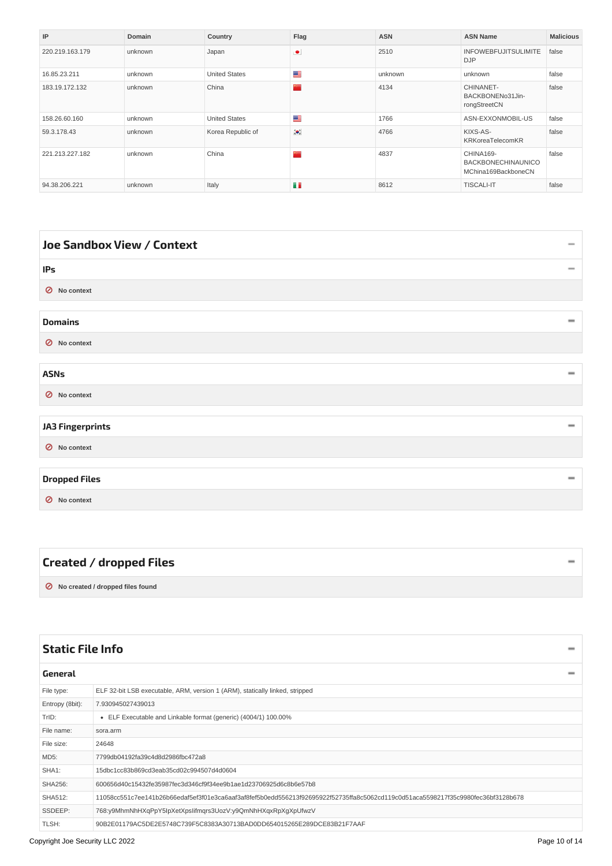| IP              | Domain  | Country              | Flaq      | <b>ASN</b> | <b>ASN Name</b>                                               | <b>Malicious</b> |
|-----------------|---------|----------------------|-----------|------------|---------------------------------------------------------------|------------------|
| 220.219.163.179 | unknown | Japan                | $\bullet$ | 2510       | <b>INFOWEBFUJITSULIMITE</b><br><b>DJP</b>                     | false            |
| 16.85.23.211    | unknown | <b>United States</b> | ≊         | unknown    | unknown                                                       | false            |
| 183.19.172.132  | unknown | China                |           | 4134       | CHINANET-<br>BACKBONENo31Jin-<br>rongStreetCN                 | false            |
| 158.26.60.160   | unknown | <b>United States</b> | ≝         | 1766       | ASN-EXXONMOBIL-US                                             | false            |
| 59.3.178.43     | unknown | Korea Republic of    | $\bullet$ | 4766       | KIXS-AS-<br>KRKoreaTelecomKR                                  | false            |
| 221.213.227.182 | unknown | China                |           | 4837       | CHINA169-<br><b>BACKBONECHINAUNICO</b><br>MChina169BackboneCN | false            |
| 94.38.206.221   | unknown | Italy                | n n       | 8612       | <b>TISCALI-IT</b>                                             | false            |

<span id="page-9-12"></span><span id="page-9-11"></span><span id="page-9-10"></span><span id="page-9-9"></span><span id="page-9-3"></span><span id="page-9-2"></span><span id="page-9-1"></span><span id="page-9-0"></span>

| <b>Joe Sandbox View / Context</b> | $\qquad \qquad \blacksquare$ |
|-----------------------------------|------------------------------|
| IPs                               |                              |
| O No context                      |                              |
| <b>Domains</b>                    | $\qquad \qquad \blacksquare$ |
| O No context                      |                              |
| <b>ASNs</b>                       | $\equiv$                     |
| ◯ No context                      |                              |
| <b>JA3 Fingerprints</b>           | $\equiv$                     |
| O No context                      |                              |
| <b>Dropped Files</b>              |                              |
| O No context                      |                              |

<span id="page-9-15"></span><span id="page-9-14"></span><span id="page-9-13"></span><span id="page-9-6"></span><span id="page-9-5"></span><span id="page-9-4"></span>

| Created / dropped Files            |  |
|------------------------------------|--|
| ◯ No created / dropped files found |  |

<span id="page-9-16"></span><span id="page-9-8"></span><span id="page-9-7"></span>

| <b>Static File Info</b>                                                                                                          |  |  |  |  |  |  |
|----------------------------------------------------------------------------------------------------------------------------------|--|--|--|--|--|--|
|                                                                                                                                  |  |  |  |  |  |  |
| ELF 32-bit LSB executable, ARM, version 1 (ARM), statically linked, stripped                                                     |  |  |  |  |  |  |
| 7.930945027439013                                                                                                                |  |  |  |  |  |  |
| • ELF Executable and Linkable format (generic) (4004/1) 100.00%                                                                  |  |  |  |  |  |  |
| sora.arm                                                                                                                         |  |  |  |  |  |  |
| 24648                                                                                                                            |  |  |  |  |  |  |
| 7799db04192fa39c4d8d2986fbc472a8                                                                                                 |  |  |  |  |  |  |
| 15dbc1cc83b869cd3eab35cd02c994507d4d0604                                                                                         |  |  |  |  |  |  |
| 600656d40c15432fe35987fec3d346cf9f34ee9b1ae1d23706925d6c8b6e57b8                                                                 |  |  |  |  |  |  |
| 11058cc551c7ee141b26b66edaf5ef3f01e3ca6aaf3af8fef5b0edd556213f92695922f52735ffa8c5062cd119c0d51aca5598217f35c9980fec36bf3128b678 |  |  |  |  |  |  |
| 768:y9MhmNhHXqPpY5IpXetXpsIifmqrs3UozV:y9QmNhHXqxRpXgXpUfwzV                                                                     |  |  |  |  |  |  |
| 90B2E01179AC5DE2E5748C739F5C8383A30713BAD0DD654015265E289DCE83B21F7AAF                                                           |  |  |  |  |  |  |
|                                                                                                                                  |  |  |  |  |  |  |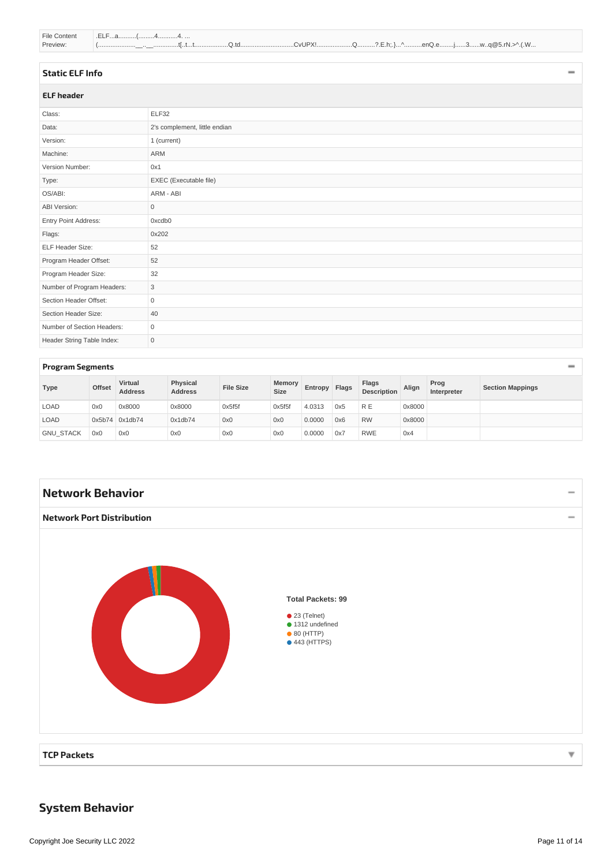<span id="page-10-7"></span>

| File Content | EL E                                              |
|--------------|---------------------------------------------------|
| Preview:     | \.(.W<br>.^enQ.ej3wg@5.rN.><br>$\mathcal{N}$<br>. |

#### <span id="page-10-0"></span>**[Static](#page-10-8) ELF Info**

<span id="page-10-8"></span><span id="page-10-1"></span>

| <b>ELF</b> header          |                               |  |  |  |  |  |
|----------------------------|-------------------------------|--|--|--|--|--|
| Class:                     | ELF32                         |  |  |  |  |  |
| Data:                      | 2's complement, little endian |  |  |  |  |  |
| Version:                   | 1 (current)                   |  |  |  |  |  |
| Machine:                   | ARM                           |  |  |  |  |  |
| Version Number:            | 0x1                           |  |  |  |  |  |
| Type:                      | EXEC (Executable file)        |  |  |  |  |  |
| OS/ABI:                    | ARM - ABI                     |  |  |  |  |  |
| ABI Version:               | $\mathsf{O}\xspace$           |  |  |  |  |  |
| Entry Point Address:       | 0xcdb0                        |  |  |  |  |  |
| Flags:                     | 0x202                         |  |  |  |  |  |
| ELF Header Size:           | 52                            |  |  |  |  |  |
| Program Header Offset:     | 52                            |  |  |  |  |  |
| Program Header Size:       | 32                            |  |  |  |  |  |
| Number of Program Headers: | 3                             |  |  |  |  |  |
| Section Header Offset:     | $\mathsf{O}\xspace$           |  |  |  |  |  |
| Section Header Size:       | 40                            |  |  |  |  |  |
| Number of Section Headers: | $\mathbf 0$                   |  |  |  |  |  |
| Header String Table Index: | $\mathsf{O}\xspace$           |  |  |  |  |  |

#### <span id="page-10-2"></span>**Program [Segments](#page-10-9)**

<span id="page-10-9"></span>

| Type             | <b>Offset</b> | <b>Virtual</b><br><b>Address</b> | Physical<br><b>Address</b> | <b>File Size</b> | Memory<br><b>Size</b> | Entropy | Flags | Flags<br><b>Description</b> | Align  | Prog<br>Interpreter | <b>Section Mappings</b> |
|------------------|---------------|----------------------------------|----------------------------|------------------|-----------------------|---------|-------|-----------------------------|--------|---------------------|-------------------------|
| LOAD             | 0x0           | 0x8000                           | 0x8000                     | 0x5f5f           | 0x5f5f                | 4.0313  | 0x5   | R E                         | 0x8000 |                     |                         |
| LOAD             |               | $0x5b74$ 0x1db74                 | 0x1db74                    | 0x0              | 0x0                   | 0.0000  | 0x6   | <b>RW</b>                   | 0x8000 |                     |                         |
| <b>GNU STACK</b> | 0x0           | 0x0                              | 0x0                        | 0x0              | 0x0                   | 0.0000  | 0x7   | <b>RWE</b>                  | 0x4    |                     |                         |

<span id="page-10-11"></span><span id="page-10-10"></span><span id="page-10-4"></span><span id="page-10-3"></span>

# <span id="page-10-6"></span><span id="page-10-5"></span>**System Behavior**

 $\overline{\phantom{0}}$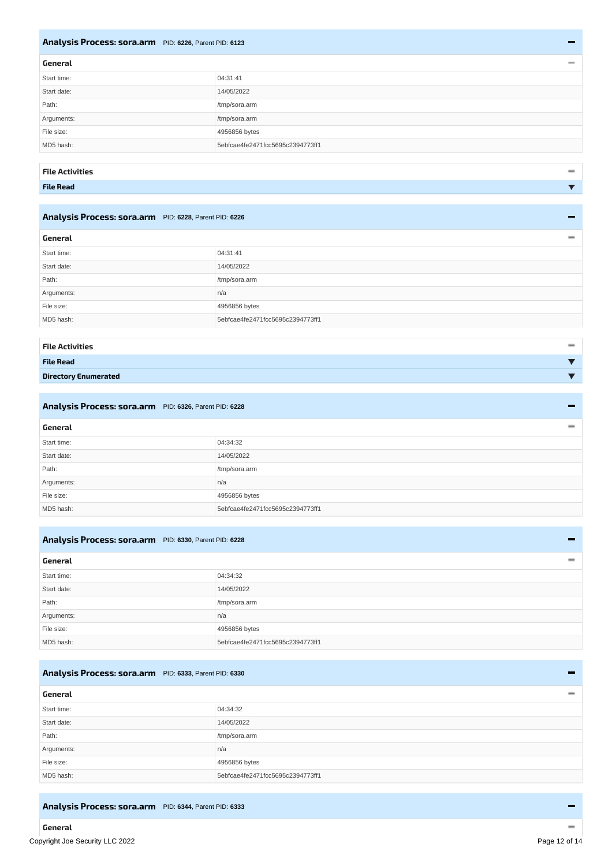#### <span id="page-11-17"></span><span id="page-11-0"></span>**Analysis Process: [sora.arm](#page-11-23)** PID: **6226**, Parent PID: **6123**

<span id="page-11-24"></span><span id="page-11-23"></span><span id="page-11-1"></span>

| General     |                                  | $\qquad \qquad \blacksquare$ |
|-------------|----------------------------------|------------------------------|
| Start time: | 04:31:41                         |                              |
| Start date: | 14/05/2022                       |                              |
| Path:       | /tmp/sora.arm                    |                              |
| Arguments:  | /tmp/sora.arm                    |                              |
| File size:  | 4956856 bytes                    |                              |
| MD5 hash:   | 5ebfcae4fe2471fcc5695c2394773ff1 |                              |
|             |                                  |                              |

#### <span id="page-11-2"></span>**File [Activities](#page-11-25)**

<span id="page-11-25"></span><span id="page-11-3"></span>**File Read**

#### <span id="page-11-18"></span><span id="page-11-4"></span>**Analysis Process: [sora.arm](#page-11-26)** PID: **6228**, Parent PID: **6226**

<span id="page-11-27"></span><span id="page-11-26"></span><span id="page-11-5"></span>

| General     |                                  | $\qquad \qquad \blacksquare$ |
|-------------|----------------------------------|------------------------------|
| Start time: | 04:31:41                         |                              |
| Start date: | 14/05/2022                       |                              |
| Path:       | /tmp/sora.arm                    |                              |
| Arguments:  | n/a                              |                              |
| File size:  | 4956856 bytes                    |                              |
| MD5 hash:   | 5ebfcae4fe2471fcc5695c2394773ff1 |                              |
|             |                                  |                              |

<span id="page-11-8"></span><span id="page-11-7"></span><span id="page-11-6"></span>

| <b>File Activities</b>      | $\qquad \qquad \blacksquare$ |
|-----------------------------|------------------------------|
| <b>File Read</b>            |                              |
| <b>Directory Enumerated</b> |                              |

<span id="page-11-29"></span><span id="page-11-28"></span><span id="page-11-19"></span><span id="page-11-10"></span><span id="page-11-9"></span>

| Analysis Process: sora.arm PID: 6326, Parent PID: 6228<br>$\sim$ |                                  |
|------------------------------------------------------------------|----------------------------------|
| General                                                          |                                  |
| Start time:                                                      | 04:34:32                         |
| Start date:                                                      | 14/05/2022                       |
| Path:                                                            | /tmp/sora.arm                    |
| Arguments:                                                       | n/a                              |
| File size:                                                       | 4956856 bytes                    |
| MD5 hash:                                                        | 5ebfcae4fe2471fcc5695c2394773ff1 |

#### <span id="page-11-20"></span><span id="page-11-11"></span>**Analysis Process: [sora.arm](#page-11-30)** PID: **6330**, Parent PID: **6228**

<span id="page-11-31"></span><span id="page-11-30"></span><span id="page-11-12"></span>

| General     |                                  |
|-------------|----------------------------------|
| Start time: | 04:34:32                         |
| Start date: | 14/05/2022                       |
| Path:       | /tmp/sora.arm                    |
| Arguments:  | n/a                              |
| File size:  | 4956856 bytes                    |
| MD5 hash:   | 5ebfcae4fe2471fcc5695c2394773ff1 |

#### <span id="page-11-21"></span><span id="page-11-13"></span>**Analysis Process: [sora.arm](#page-11-32)** PID: **6333**, Parent PID: **6330**

<span id="page-11-33"></span><span id="page-11-32"></span><span id="page-11-14"></span>

| General     |                                  |
|-------------|----------------------------------|
| Start time: | 04:34:32                         |
| Start date: | 14/05/2022                       |
| Path:       | /tmp/sora.arm                    |
| Arguments:  | n/a                              |
| File size:  | 4956856 bytes                    |
| MD5 hash:   | 5ebfcae4fe2471fcc5695c2394773ff1 |

#### <span id="page-11-22"></span><span id="page-11-16"></span><span id="page-11-15"></span>**Analysis Process: [sora.arm](#page-12-18)** PID: **6344**, Parent PID: **6333**

 $\qquad \qquad$ 

 $\overline{\phantom{a}}$  $\overline{\mathbf{v}}$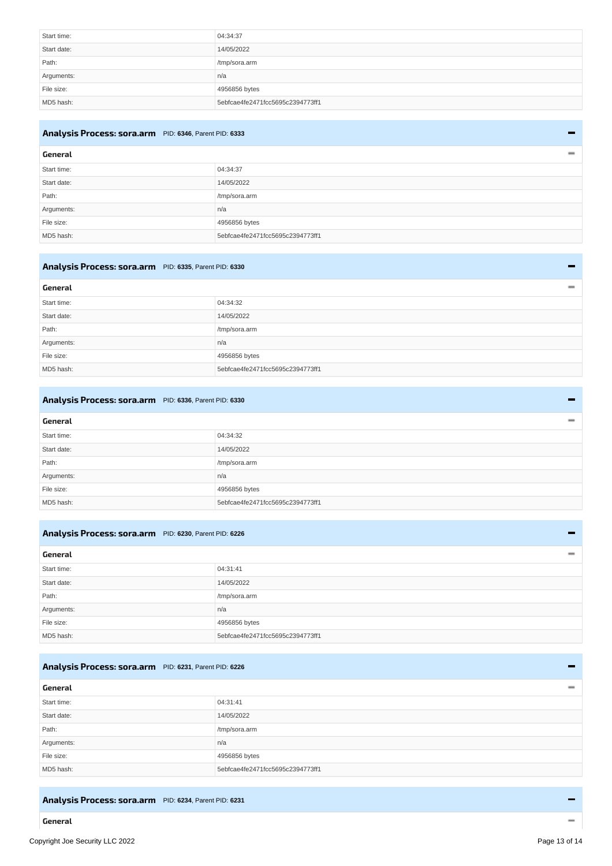<span id="page-12-19"></span><span id="page-12-18"></span>

| Start time: | 04:34:37                         |
|-------------|----------------------------------|
| Start date: | 14/05/2022                       |
| Path:       | /tmp/sora.arm                    |
| Arguments:  | n/a                              |
| File size:  | 4956856 bytes                    |
| MD5 hash:   | 5ebfcae4fe2471fcc5695c2394773ff1 |

#### <span id="page-12-12"></span><span id="page-12-0"></span>**Analysis Process: [sora.arm](#page-12-20)** PID: **6346**, Parent PID: **6333**

<span id="page-12-21"></span><span id="page-12-20"></span><span id="page-12-1"></span>

| General     |                                  |
|-------------|----------------------------------|
| Start time: | 04:34:37                         |
| Start date: | 14/05/2022                       |
| Path:       | /tmp/sora.arm                    |
| Arguments:  | n/a                              |
| File size:  | 4956856 bytes                    |
| MD5 hash:   | 5ebfcae4fe2471fcc5695c2394773ff1 |

# <span id="page-12-13"></span><span id="page-12-2"></span>**Analysis Process: [sora.arm](#page-12-22)** PID: **6335**, Parent PID: **6330**

<span id="page-12-23"></span><span id="page-12-22"></span><span id="page-12-3"></span>

| General     |                                  |
|-------------|----------------------------------|
| Start time: | 04:34:32                         |
| Start date: | 14/05/2022                       |
| Path:       | /tmp/sora.arm                    |
| Arguments:  | n/a                              |
| File size:  | 4956856 bytes                    |
| MD5 hash:   | 5ebfcae4fe2471fcc5695c2394773ff1 |

#### <span id="page-12-14"></span><span id="page-12-4"></span>**Analysis Process: [sora.arm](#page-12-24)** PID: **6336**, Parent PID: **6330**

<span id="page-12-25"></span><span id="page-12-24"></span><span id="page-12-5"></span>

| General     |                                  |
|-------------|----------------------------------|
| Start time: | 04:34:32                         |
| Start date: | 14/05/2022                       |
| Path:       | /tmp/sora.arm                    |
| Arguments:  | n/a                              |
| File size:  | 4956856 bytes                    |
| MD5 hash:   | 5ebfcae4fe2471fcc5695c2394773ff1 |

#### <span id="page-12-15"></span><span id="page-12-6"></span>**Analysis Process: [sora.arm](#page-12-26)** PID: **6230**, Parent PID: **6226**

<span id="page-12-27"></span><span id="page-12-26"></span><span id="page-12-7"></span>

| General     |                                  |
|-------------|----------------------------------|
| Start time: | 04:31:41                         |
| Start date: | 14/05/2022                       |
| Path:       | /tmp/sora.arm                    |
| Arguments:  | n/a                              |
| File size:  | 4956856 bytes                    |
| MD5 hash:   | 5ebfcae4fe2471fcc5695c2394773ff1 |

#### <span id="page-12-16"></span><span id="page-12-8"></span>**Analysis Process: [sora.arm](#page-12-28)** PID: **6231**, Parent PID: **6226**

<span id="page-12-29"></span><span id="page-12-28"></span><span id="page-12-9"></span>

| General     |                                  |
|-------------|----------------------------------|
| Start time: | 04:31:41                         |
| Start date: | 14/05/2022                       |
| Path:       | /tmp/sora.arm                    |
| Arguments:  | n/a                              |
| File size:  | 4956856 bytes                    |
| MD5 hash:   | 5ebfcae4fe2471fcc5695c2394773ff1 |

#### <span id="page-12-17"></span><span id="page-12-11"></span><span id="page-12-10"></span>**Analysis Process: [sora.arm](#page-13-15)** PID: **6234**, Parent PID: **6231**

L,

 $\overline{a}$ 

÷